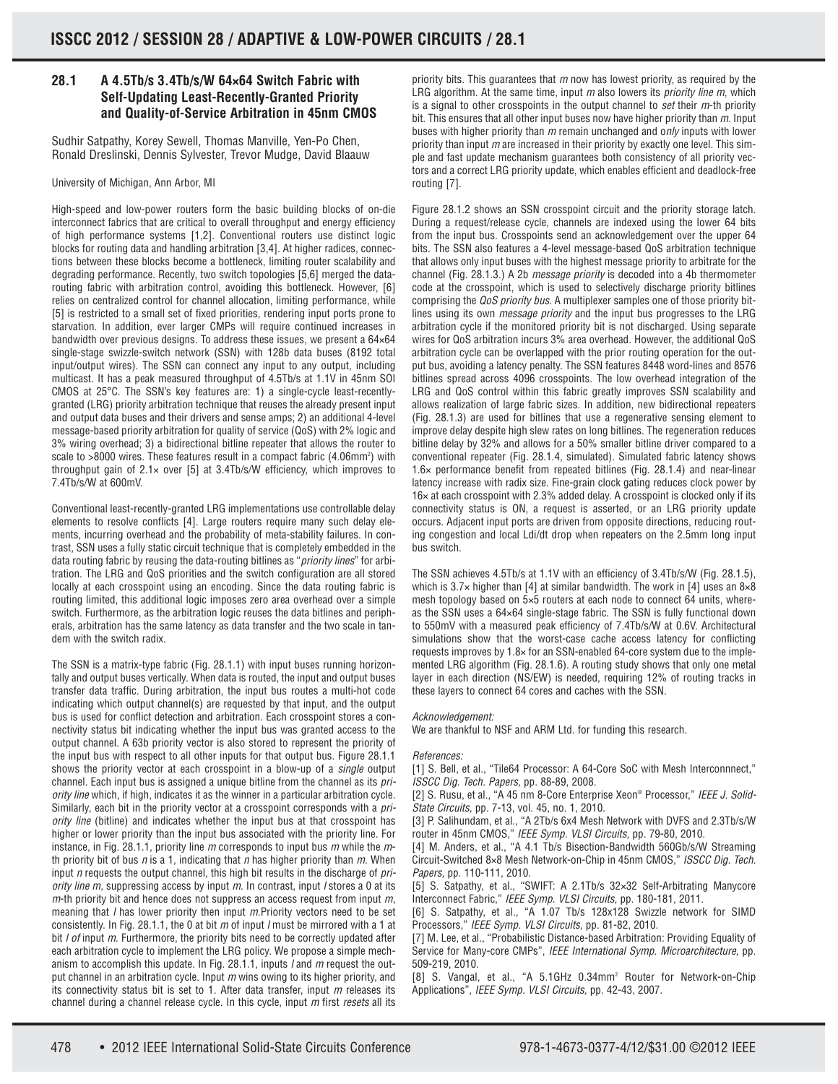## **28.1 A 4.5Tb/s 3.4Tb/s/W 64×64 Switch Fabric with Self-Updating Least-Recently-Granted Priority and Quality-of-Service Arbitration in 45nm CMOS**

Sudhir Satpathy, Korey Sewell, Thomas Manville, Yen-Po Chen, Ronald Dreslinski, Dennis Sylvester, Trevor Mudge, David Blaauw

University of Michigan, Ann Arbor, MI

High-speed and low-power routers form the basic building blocks of on-die interconnect fabrics that are critical to overall throughput and energy efficiency of high performance systems [1,2]. Conventional routers use distinct logic blocks for routing data and handling arbitration [3,4]. At higher radices, connections between these blocks become a bottleneck, limiting router scalability and degrading performance. Recently, two switch topologies [5,6] merged the datarouting fabric with arbitration control, avoiding this bottleneck. However, [6] relies on centralized control for channel allocation, limiting performance, while [5] is restricted to a small set of fixed priorities, rendering input ports prone to starvation. In addition, ever larger CMPs will require continued increases in bandwidth over previous designs. To address these issues, we present a 64×64 single-stage swizzle-switch network (SSN) with 128b data buses (8192 total input/output wires). The SSN can connect any input to any output, including multicast. It has a peak measured throughput of 4.5Tb/s at 1.1V in 45nm SOI CMOS at 25°C. The SSN's key features are: 1) a single-cycle least-recentlygranted (LRG) priority arbitration technique that reuses the already present input and output data buses and their drivers and sense amps; 2) an additional 4-level message-based priority arbitration for quality of service (QoS) with 2% logic and 3% wiring overhead; 3) a bidirectional bitline repeater that allows the router to scale to >8000 wires. These features result in a compact fabric (4.06mm<sup>2</sup>) with throughput gain of  $2.1 \times$  over [5] at 3.4Tb/s/W efficiency, which improves to 7.4Tb/s/W at 600mV.

Conventional least-recently-granted LRG implementations use controllable delay elements to resolve conflicts [4]. Large routers require many such delay elements, incurring overhead and the probability of meta-stability failures. In contrast, SSN uses a fully static circuit technique that is completely embedded in the data routing fabric by reusing the data-routing bitlines as "priority lines" for arbitration. The LRG and QoS priorities and the switch configuration are all stored locally at each crosspoint using an encoding. Since the data routing fabric is routing limited, this additional logic imposes zero area overhead over a simple switch. Furthermore, as the arbitration logic reuses the data bitlines and peripherals, arbitration has the same latency as data transfer and the two scale in tandem with the switch radix.

The SSN is a matrix-type fabric (Fig. 28.1.1) with input buses running horizontally and output buses vertically. When data is routed, the input and output buses transfer data traffic. During arbitration, the input bus routes a multi-hot code indicating which output channel(s) are requested by that input, and the output bus is used for conflict detection and arbitration. Each crosspoint stores a connectivity status bit indicating whether the input bus was granted access to the output channel. A 63b priority vector is also stored to represent the priority of the input bus with respect to all other inputs for that output bus. Figure 28.1.1 shows the priority vector at each crosspoint in a blow-up of a single output channel. Each input bus is assigned a unique bitline from the channel as its priority line which, if high, indicates it as the winner in a particular arbitration cycle. Similarly, each bit in the priority vector at a crosspoint corresponds with a *pri*ority line (bitline) and indicates whether the input bus at that crosspoint has higher or lower priority than the input bus associated with the priority line. For instance, in Fig. 28.1.1, priority line  $m$  corresponds to input bus  $m$  while the  $m$ th priority bit of bus  $n$  is a 1, indicating that  $n$  has higher priority than  $m$ . When input  $n$  requests the output channel, this high bit results in the discharge of  $pri$ ority line  $m$ , suppressing access by input  $m$ . In contrast, input *I* stores a 0 at its  $m$ -th priority bit and hence does not suppress an access request from input  $m$ , meaning that *I* has lower priority then input *m*.Priority vectors need to be set consistently. In Fig. 28.1.1, the 0 at bit  $m$  of input *l* must be mirrored with a 1 at bit *I of* input *m*. Furthermore, the priority bits need to be correctly updated after each arbitration cycle to implement the LRG policy. We propose a simple mechanism to accomplish this update. In Fig. 28.1.1, inputs  $l$  and  $m$  request the output channel in an arbitration cycle. Input  $m$  wins owing to its higher priority, and its connectivity status bit is set to 1. After data transfer, input  $m$  releases its channel during a channel release cycle. In this cycle, input m first resets all its

priority bits. This quarantees that  $m$  now has lowest priority, as required by the LRG algorithm. At the same time, input  $m$  also lowers its *priority line m*, which is a signal to other crosspoints in the output channel to set their  $m$ -th priority bit. This ensures that all other input buses now have higher priority than  $m$ . Input buses with higher priority than m remain unchanged and only inputs with lower priority than input  $m$  are increased in their priority by exactly one level. This simple and fast update mechanism guarantees both consistency of all priority vectors and a correct LRG priority update, which enables efficient and deadlock-free routing [7].

Figure 28.1.2 shows an SSN crosspoint circuit and the priority storage latch. During a request/release cycle, channels are indexed using the lower 64 bits from the input bus. Crosspoints send an acknowledgement over the upper 64 bits. The SSN also features a 4-level message-based QoS arbitration technique that allows only input buses with the highest message priority to arbitrate for the channel (Fig. 28.1.3.) A 2b message priority is decoded into a 4b thermometer code at the crosspoint, which is used to selectively discharge priority bitlines comprising the *QoS priority bus*. A multiplexer samples one of those priority bitlines using its own *message priority* and the input bus progresses to the LRG arbitration cycle if the monitored priority bit is not discharged. Using separate wires for QoS arbitration incurs 3% area overhead. However, the additional QoS arbitration cycle can be overlapped with the prior routing operation for the output bus, avoiding a latency penalty. The SSN features 8448 word-lines and 8576 bitlines spread across 4096 crosspoints. The low overhead integration of the LRG and QoS control within this fabric greatly improves SSN scalability and allows realization of large fabric sizes. In addition, new bidirectional repeaters (Fig. 28.1.3) are used for bitlines that use a regenerative sensing element to improve delay despite high slew rates on long bitlines. The regeneration reduces bitline delay by 32% and allows for a 50% smaller bitline driver compared to a conventional repeater (Fig. 28.1.4, simulated). Simulated fabric latency shows 1.6× performance benefit from repeated bitlines (Fig. 28.1.4) and near-linear latency increase with radix size. Fine-grain clock gating reduces clock power by 16× at each crosspoint with 2.3% added delay. A crosspoint is clocked only if its connectivity status is ON, a request is asserted, or an LRG priority update occurs. Adjacent input ports are driven from opposite directions, reducing routing congestion and local Ldi/dt drop when repeaters on the 2.5mm long input bus switch.

The SSN achieves 4.5Tb/s at 1.1V with an efficiency of 3.4Tb/s/W (Fig. 28.1.5), which is 3.7× higher than [4] at similar bandwidth. The work in [4] uses an 8×8 mesh topology based on 5×5 routers at each node to connect 64 units, whereas the SSN uses a 64×64 single-stage fabric. The SSN is fully functional down to 550mV with a measured peak efficiency of 7.4Tb/s/W at 0.6V. Architectural simulations show that the worst-case cache access latency for conflicting requests improves by 1.8× for an SSN-enabled 64-core system due to the implemented LRG algorithm (Fig. 28.1.6). A routing study shows that only one metal layer in each direction (NS/EW) is needed, requiring 12% of routing tracks in these layers to connect 64 cores and caches with the SSN.

## Acknowledgement:

We are thankful to NSF and ARM Ltd. for funding this research.

## References:

[1] S. Bell, et al., "Tile64 Processor: A 64-Core SoC with Mesh Interconnnect," ISSCC Dig. Tech. Papers, pp. 88-89, 2008.

[2] S. Rusu, et al., "A 45 nm 8-Core Enterprise Xeon® Processor," IEEE J. Solid-State Circuits, pp. 7-13, vol. 45, no. 1, 2010.

[3] P. Salihundam, et al., "A 2Tb/s 6x4 Mesh Network with DVFS and 2.3Tb/s/W router in 45nm CMOS," IEEE Symp. VLSI Circuits, pp. 79-80, 2010.

[4] M. Anders, et al., "A 4.1 Tb/s Bisection-Bandwidth 560Gb/s/W Streaming Circuit-Switched 8×8 Mesh Network-on-Chip in 45nm CMOS," ISSCC Dig. Tech. Papers, pp. 110-111, 2010.

[5] S. Satpathy, et al., "SWIFT: A 2.1Tb/s 32×32 Self-Arbitrating Manycore Interconnect Fabric," IEEE Symp. VLSI Circuits, pp. 180-181, 2011.

[6] S. Satpathy, et al., "A 1.07 Tb/s 128x128 Swizzle network for SIMD Processors," IEEE Symp. VLSI Circuits, pp. 81-82, 2010.

[7] M. Lee, et al., "Probabilistic Distance-based Arbitration: Providing Equality of Service for Many-core CMPs", IEEE International Symp. Microarchitecture, pp. 509-219, 2010.

[8] S. Vangal, et al., "A 5.1GHz 0.34mm<sup>2</sup> Router for Network-on-Chip Applications", IEEE Symp. VLSI Circuits, pp. 42-43, 2007.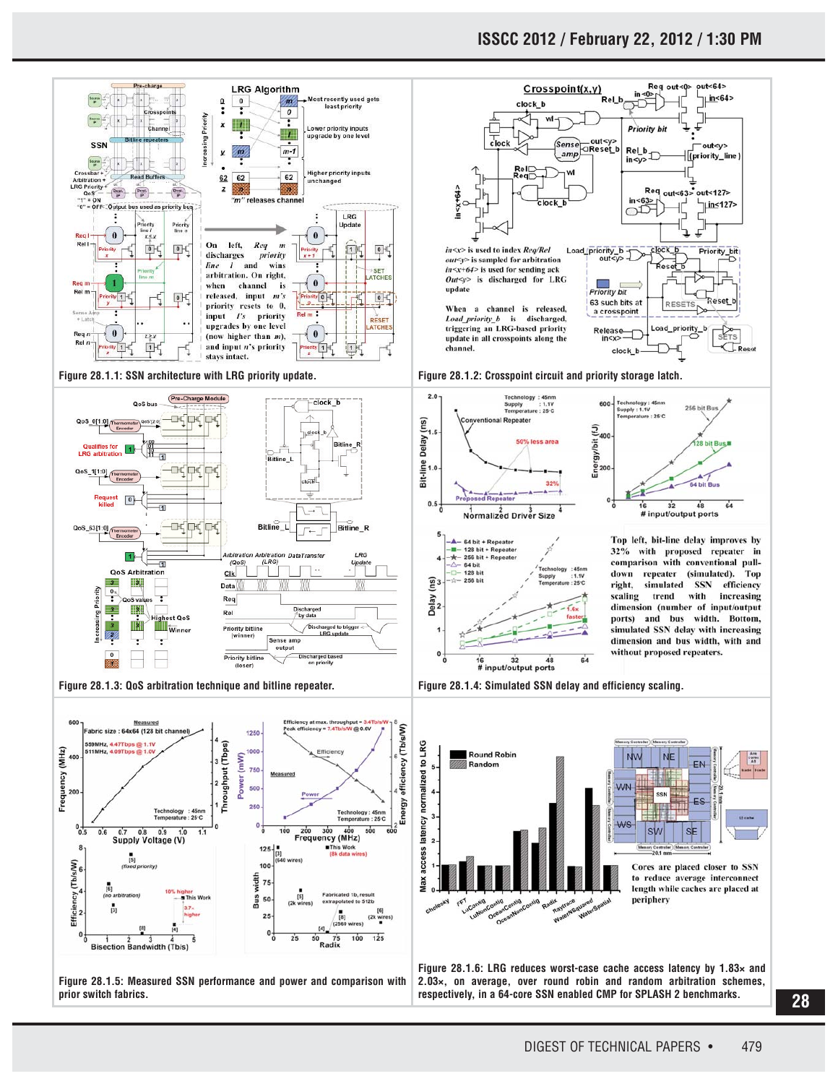

**28**